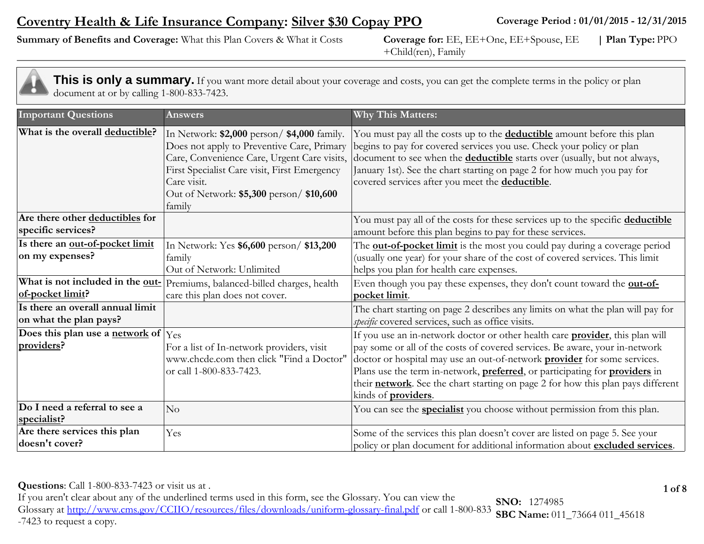# **Coventry Health & Life Insurance Company: Silver \$30 Copay PPO**

**Summary of Benefits and Coverage:** What this Plan Covers & What it Costs **Coverage for:** EE, EE+One, EE+Spouse, EE

+Child(ren), Family **| Plan Type:** PPO

| <b>Important Questions</b>                                  | Answers                                                                                                                                                                                                                                                       | <b>Why This Matters:</b>                                                                                                                                                                                                                                                                                                                                                                                                                                  |
|-------------------------------------------------------------|---------------------------------------------------------------------------------------------------------------------------------------------------------------------------------------------------------------------------------------------------------------|-----------------------------------------------------------------------------------------------------------------------------------------------------------------------------------------------------------------------------------------------------------------------------------------------------------------------------------------------------------------------------------------------------------------------------------------------------------|
| What is the overall deductible?                             | In Network: \$2,000 person/ \$4,000 family.<br>Does not apply to Preventive Care, Primary<br>Care, Convenience Care, Urgent Care visits,<br>First Specialist Care visit, First Emergency<br>Care visit.<br>Out of Network: \$5,300 person/ \$10,600<br>family | You must pay all the costs up to the <b>deductible</b> amount before this plan<br>begins to pay for covered services you use. Check your policy or plan<br>document to see when the <b>deductible</b> starts over (usually, but not always,<br>January 1st). See the chart starting on page 2 for how much you pay for<br>covered services after you meet the <b>deductible</b> .                                                                         |
| Are there other deductibles for<br>specific services?       |                                                                                                                                                                                                                                                               | You must pay all of the costs for these services up to the specific deductible<br>amount before this plan begins to pay for these services.                                                                                                                                                                                                                                                                                                               |
| Is there an out-of-pocket limit<br>on my expenses?          | In Network: Yes \$6,600 person/ \$13,200<br>family<br>Out of Network: Unlimited                                                                                                                                                                               | The <b>out-of-pocket limit</b> is the most you could pay during a coverage period<br>(usually one year) for your share of the cost of covered services. This limit<br>helps you plan for health care expenses.                                                                                                                                                                                                                                            |
| What is not included in the out-<br>of-pocket limit?        | Premiums, balanced-billed charges, health<br>care this plan does not cover.                                                                                                                                                                                   | Even though you pay these expenses, they don't count toward the out-of-<br>pocket limit.                                                                                                                                                                                                                                                                                                                                                                  |
| Is there an overall annual limit<br>on what the plan pays?  |                                                                                                                                                                                                                                                               | The chart starting on page 2 describes any limits on what the plan will pay for<br>specific covered services, such as office visits.                                                                                                                                                                                                                                                                                                                      |
| Does this plan use a network of $ {\rm Yes} $<br>providers? | For a list of In-network providers, visit<br>www.chcde.com then click "Find a Doctor"<br>or call 1-800-833-7423.                                                                                                                                              | If you use an in-network doctor or other health care <b>provider</b> , this plan will<br>pay some or all of the costs of covered services. Be aware, your in-network<br>doctor or hospital may use an out-of-network <b>provider</b> for some services.<br>Plans use the term in-network, preferred, or participating for providers in<br>their network. See the chart starting on page 2 for how this plan pays different<br>kinds of <b>providers</b> . |
| Do I need a referral to see a<br>specialist?                | $\overline{\rm No}$                                                                                                                                                                                                                                           | You can see the <b>specialist</b> you choose without permission from this plan.                                                                                                                                                                                                                                                                                                                                                                           |
| Are there services this plan<br>doesn't cover?              | Yes                                                                                                                                                                                                                                                           | Some of the services this plan doesn't cover are listed on page 5. See your<br>policy or plan document for additional information about excluded services.                                                                                                                                                                                                                                                                                                |

**Questions**: Call 1-800-833-7423 or visit us at . **1 of 8** 

If you aren't clear about any of the underlined terms used in this form, see the Glossary. You can view the Glossary at<http://www.cms.gov/CCIIO/resources/files/downloads/uniform-glossary-final.pdf> or call 1-800-833 -7423 to request a copy. **SNO:** 1274985 **SBC Name:** 011\_73664 011\_45618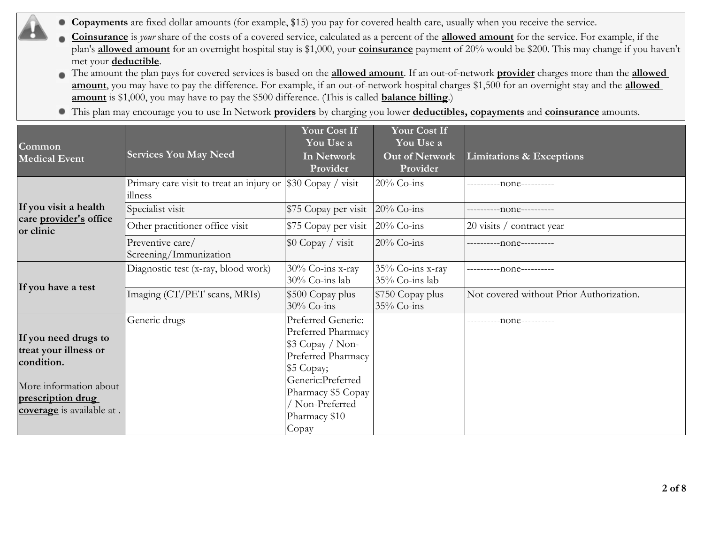- **Copayments** are fixed dollar amounts (for example, \$15) you pay for covered health care, usually when you receive the service. .
	- **Coinsurance** is *your* share of the costs of a covered service, calculated as a percent of the **allowed amount** for the service. For example, if the plan's **allowed amount** for an overnight hospital stay is \$1,000, your **coinsurance** payment of 20% would be \$200. This may change if you haven't met your **deductible**.
	- The amount the plan pays for covered services is based on the **allowed amount**. If an out-of-network **provider** charges more than the **allowed amount**, you may have to pay the difference. For example, if an out-of-network hospital charges \$1,500 for an overnight stay and the **allowed amount** is \$1,000, you may have to pay the \$500 difference. (This is called **balance billing**.)
	- This plan may encourage you to use In Network **providers** by charging you lower **deductibles, copayments** and **coinsurance** amounts.

| Common<br><b>Medical Event</b>                                                                                                          | <b>Services You May Need</b>                                           | <b>Your Cost If</b><br>You Use a<br>In Network<br>Provider                                                                                                                              | <b>Your Cost If</b><br>You Use a<br>Out of Network<br>Provider | Limitations & Exceptions                 |
|-----------------------------------------------------------------------------------------------------------------------------------------|------------------------------------------------------------------------|-----------------------------------------------------------------------------------------------------------------------------------------------------------------------------------------|----------------------------------------------------------------|------------------------------------------|
|                                                                                                                                         | Primary care visit to treat an injury or \$30 Copay / visit<br>illness |                                                                                                                                                                                         | 20% Co-ins                                                     | ----------none----------                 |
| If you visit a health                                                                                                                   | Specialist visit                                                       | \$75 Copay per visit 20% Co-ins                                                                                                                                                         |                                                                | ---------none----------                  |
| care provider's office<br>or clinic                                                                                                     | Other practitioner office visit                                        | \$75 Copay per visit 20% Co-ins                                                                                                                                                         |                                                                | 20 visits / contract year                |
|                                                                                                                                         | Preventive care/<br>Screening/Immunization                             | $\$\$ 0 Copay / visit                                                                                                                                                                   | $20%$ Co-ins                                                   | -----------none----------                |
| If you have a test                                                                                                                      | Diagnostic test (x-ray, blood work)                                    | 30% Co-ins x-ray<br>30% Co-ins lab                                                                                                                                                      | 35% Co-ins x-ray<br>35% Co-ins lab                             | --none----------                         |
|                                                                                                                                         | Imaging (CT/PET scans, MRIs)                                           | \$500 Copay plus<br>$30\%$ Co-ins                                                                                                                                                       | \$750 Copay plus<br>$35\%$ Co-ins                              | Not covered without Prior Authorization. |
| If you need drugs to<br>treat your illness or<br>condition.<br>More information about<br>prescription drug<br>coverage is available at. | Generic drugs                                                          | Preferred Generic:<br>Preferred Pharmacy<br>$$3$ Copay / Non-<br>Preferred Pharmacy<br>\$5 Copay;<br>Generic:Preferred<br>Pharmacy \$5 Copay<br>Non-Preferred<br>Pharmacy \$10<br>Copay |                                                                | ----------none----------                 |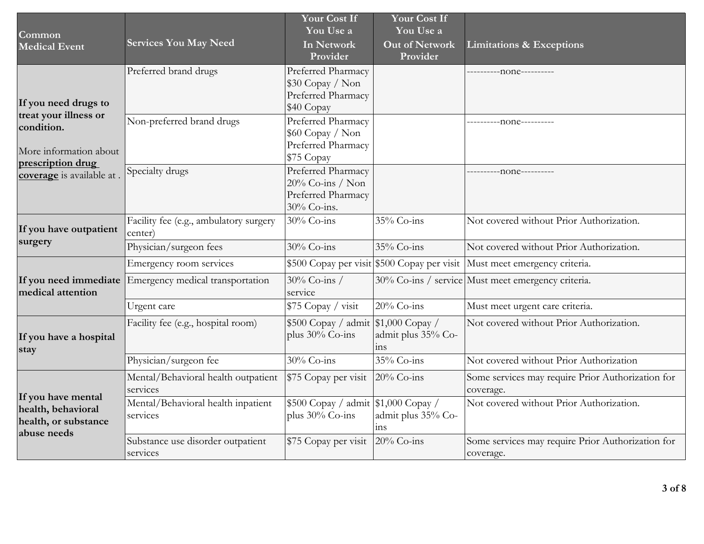| Common<br><b>Medical Event</b>                                                     | <b>Services You May Need</b>                      | <b>Your Cost If</b><br>You Use a<br>In Network<br>Provider                     | Your Cost If<br>You Use a<br><b>Out of Network</b><br>Provider | <b>Limitations &amp; Exceptions</b>                                       |
|------------------------------------------------------------------------------------|---------------------------------------------------|--------------------------------------------------------------------------------|----------------------------------------------------------------|---------------------------------------------------------------------------|
| If you need drugs to                                                               | Preferred brand drugs                             | Preferred Pharmacy<br>\$30 Copay / Non<br>Preferred Pharmacy<br>\$40 Copay     |                                                                | ----------none----------                                                  |
| treat your illness or<br>condition.<br>More information about<br>prescription drug | Non-preferred brand drugs                         | Preferred Pharmacy<br>\$60 Copay / Non<br>Preferred Pharmacy<br>\$75 Copay     |                                                                | ----------none----------                                                  |
| coverage is available at.                                                          | Specialty drugs                                   | Preferred Pharmacy<br>$20\%$ Co-ins / Non<br>Preferred Pharmacy<br>30% Co-ins. |                                                                | -----------none----------                                                 |
| If you have outpatient                                                             | Facility fee (e.g., ambulatory surgery<br>center) | 30% Co-ins                                                                     | 35% Co-ins                                                     | Not covered without Prior Authorization.                                  |
| surgery                                                                            | Physician/surgeon fees                            | 30% Co-ins                                                                     | 35% Co-ins                                                     | Not covered without Prior Authorization.                                  |
|                                                                                    | Emergency room services                           |                                                                                |                                                                | \$500 Copay per visit \$500 Copay per visit Must meet emergency criteria. |
| If you need immediate<br>medical attention                                         | Emergency medical transportation                  | 30% Co-ins /<br>service                                                        |                                                                | 30% Co-ins / service Must meet emergency criteria.                        |
|                                                                                    | Urgent care                                       | \$75 Copay / visit                                                             | $20\%$ Co-ins                                                  | Must meet urgent care criteria.                                           |
| If you have a hospital<br>stay                                                     | Facility fee (e.g., hospital room)                | $$500 Copy / admit \$ \$1,000 Copay /<br>plus $30\%$ Co-ins                    | admit plus 35% Co-<br>1 <sub>1</sub>                           | Not covered without Prior Authorization.                                  |
|                                                                                    | Physician/surgeon fee                             | 30% Co-ins                                                                     | 35% Co-ins                                                     | Not covered without Prior Authorization                                   |
|                                                                                    | Mental/Behavioral health outpatient<br>services   | \$75 Copay per visit                                                           | $20\%$ Co-ins                                                  | Some services may require Prior Authorization for<br>coverage.            |
| If you have mental<br>health, behavioral<br>health, or substance<br>abuse needs    | Mental/Behavioral health inpatient<br>services    | $$500 Copy / admit \$ \$1,000 Copay /<br>plus $30\%$ Co-ins                    | admit plus 35% Co-<br>1 <sub>1</sub>                           | Not covered without Prior Authorization.                                  |
|                                                                                    | Substance use disorder outpatient<br>services     | \$75 Copay per visit                                                           | $20\%$ Co-ins                                                  | Some services may require Prior Authorization for<br>coverage.            |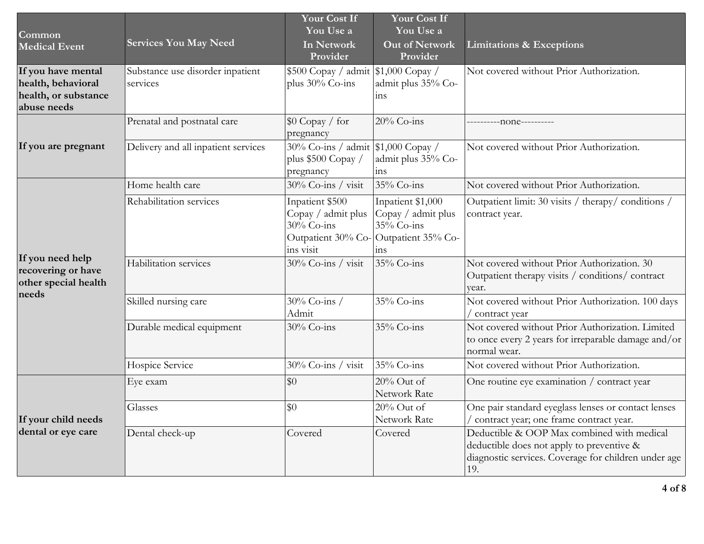| Common<br><b>Medical Event</b>                                                  | <b>Services You May Need</b>                 | <b>Your Cost If</b><br>You Use a<br>In Network<br>Provider                          | <b>Your Cost If</b><br>You Use a<br><b>Out of Network</b><br>Provider                                   | <b>Limitations &amp; Exceptions</b>                                                                                                                    |
|---------------------------------------------------------------------------------|----------------------------------------------|-------------------------------------------------------------------------------------|---------------------------------------------------------------------------------------------------------|--------------------------------------------------------------------------------------------------------------------------------------------------------|
| If you have mental<br>health, behavioral<br>health, or substance<br>abuse needs | Substance use disorder inpatient<br>services | $\frac{1}{2}500$ Copay / admit $\frac{1}{2}1,000$ Copay /<br>plus $30\%$ Co-ins     | admit plus 35% Co-<br>ins                                                                               | Not covered without Prior Authorization.                                                                                                               |
|                                                                                 | Prenatal and postnatal care                  | $\$\mathrm{0}\ \mathrm{Copy}\ /\ \mathrm{for}$<br>pregnancy                         | 20% Co-ins                                                                                              | ----------none----------                                                                                                                               |
| If you are pregnant                                                             | Delivery and all inpatient services          | $\frac{1}{30\%}$ Co-ins / admit \\$1,000 Copay /<br>plus \$500 Copay /<br>pregnancy | admit plus 35% Co-<br>1 <sub>1</sub>                                                                    | Not covered without Prior Authorization.                                                                                                               |
|                                                                                 | Home health care                             | 30% Co-ins / visit                                                                  | 35% Co-ins                                                                                              | Not covered without Prior Authorization.                                                                                                               |
| If you need help<br>recovering or have<br>other special health<br>needs         | Rehabilitation services                      | Inpatient \$500<br>Copay / admit plus<br>$30\%$ Co-ins<br>ins visit                 | Inpatient \$1,000<br>Copay / admit plus<br>$35\%$ Co-ins<br>Outpatient 30% Co-Outpatient 35% Co-<br>ins | Outpatient limit: 30 visits / therapy/ conditions /<br>contract year.                                                                                  |
|                                                                                 | Habilitation services                        | 30% Co-ins / visit                                                                  | $35\%$ Co-ins                                                                                           | Not covered without Prior Authorization. 30<br>Outpatient therapy visits / conditions/ contract<br>vear.                                               |
|                                                                                 | Skilled nursing care                         | 30% Co-ins /<br>Admit                                                               | 35% Co-ins                                                                                              | Not covered without Prior Authorization. 100 days<br>/ contract year                                                                                   |
|                                                                                 | Durable medical equipment                    | $30\%$ Co-ins                                                                       | 35% Co-ins                                                                                              | Not covered without Prior Authorization. Limited<br>to once every 2 years for irreparable damage and/or<br>normal wear.                                |
|                                                                                 | Hospice Service                              | 30% Co-ins / visit                                                                  | 35% Co-ins                                                                                              | Not covered without Prior Authorization.                                                                                                               |
|                                                                                 | Eye exam                                     | \$0                                                                                 | 20% Out of<br>Network Rate                                                                              | One routine eye examination / contract year                                                                                                            |
| If your child needs                                                             | Glasses                                      | $\overline{30}$                                                                     | $20\%$ Out of<br>Network Rate                                                                           | One pair standard eyeglass lenses or contact lenses<br>/ contract year; one frame contract year.                                                       |
| dental or eye care                                                              | Dental check-up                              | Covered                                                                             | Covered                                                                                                 | Deductible & OOP Max combined with medical<br>deductible does not apply to preventive &<br>diagnostic services. Coverage for children under age<br>19. |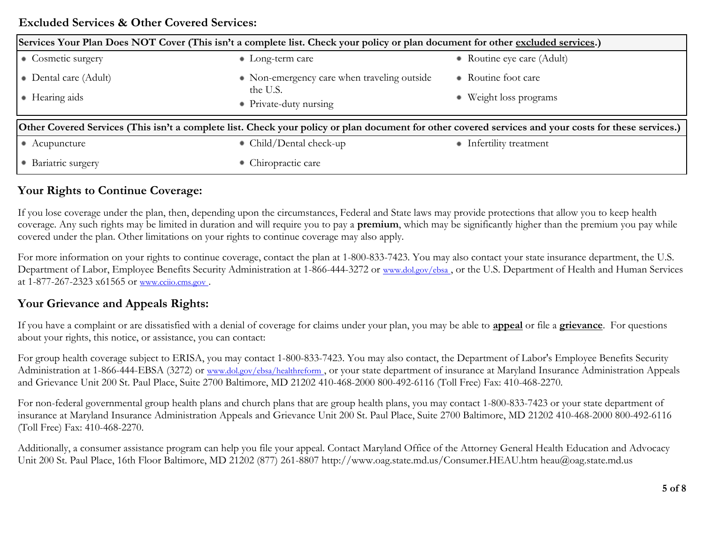### **Excluded Services & Other Covered Services:**

| Services Your Plan Does NOT Cover (This isn't a complete list. Check your policy or plan document for other excluded services.)                       |                                             |                            |  |
|-------------------------------------------------------------------------------------------------------------------------------------------------------|---------------------------------------------|----------------------------|--|
| • Cosmetic surgery                                                                                                                                    | $\bullet$ Long-term care                    | • Routine eye care (Adult) |  |
| • Dental care (Adult)                                                                                                                                 | • Non-emergency care when traveling outside | • Routine foot care        |  |
| • Hearing aids                                                                                                                                        | the U.S.<br>• Private-duty nursing          | Weight loss programs<br>٠  |  |
| Other Covered Services (This isn't a complete list. Check your policy or plan document for other covered services and your costs for these services.) |                                             |                            |  |
| • Acupuncture                                                                                                                                         | • Child/Dental check-up                     | • Infertility treatment    |  |
| • Bariatric surgery                                                                                                                                   | • Chiropractic care                         |                            |  |

# **Your Rights to Continue Coverage:**

If you lose coverage under the plan, then, depending upon the circumstances, Federal and State laws may provide protections that allow you to keep health coverage. Any such rights may be limited in duration and will require you to pay a **premium**, which may be significantly higher than the premium you pay while covered under the plan. Other limitations on your rights to continue coverage may also apply.

For more information on your rights to continue coverage, contact the plan at 1-800-833-7423. You may also contact your state insurance department, the U.S. Department of Labor, Employee Benefits Security Administration at 1-866-444-3272 or [www.dol.gov/ebsa](http://www.dol.gov/ebsa) , or the U.S. Department of Health and Human Services at 1-877-267-2323 x61565 or [www.cciio.cms.gov](http://www.cciio.cms.gov/) [.](http://www.cciio.cms.gov/)

# **Your Grievance and Appeals Rights:**

If you have a complaint or are dissatisfied with a denial of coverage for claims under your plan, you may be able to **appeal** or file a **grievance**. For questions about your rights, this notice, or assistance, you can contact:

For group health coverage subject to ERISA, you may contact 1-800-833-7423. You may also contact, the Department of Labor's Employee Benefits Security Administration at 1-866-444-EBSA (3272) or [www.dol.gov/ebsa/healthreform](http://www.dol.gov/ebsa/healthreform)[,](http://www.dol.gov/ebsa/healthreform) or your state department of insurance at Maryland Insurance Administration Appeals and Grievance Unit 200 St. Paul Place, Suite 2700 Baltimore, MD 21202 410-468-2000 800-492-6116 (Toll Free) Fax: 410-468-2270.

For non-federal governmental group health plans and church plans that are group health plans, you may contact 1-800-833-7423 or your state department of insurance at Maryland Insurance Administration Appeals and Grievance Unit 200 St. Paul Place, Suite 2700 Baltimore, MD 21202 410-468-2000 800-492-6116 (Toll Free) Fax: 410-468-2270.

Additionally, a consumer assistance program can help you file your appeal. Contact Maryland Office of the Attorney General Health Education and Advocacy Unit 200 St. Paul Place, 16th Floor Baltimore, MD 21202 (877) 261-8807 http://www.oag.state.md.us/Consumer.HEAU.htm heau@oag.state.md.us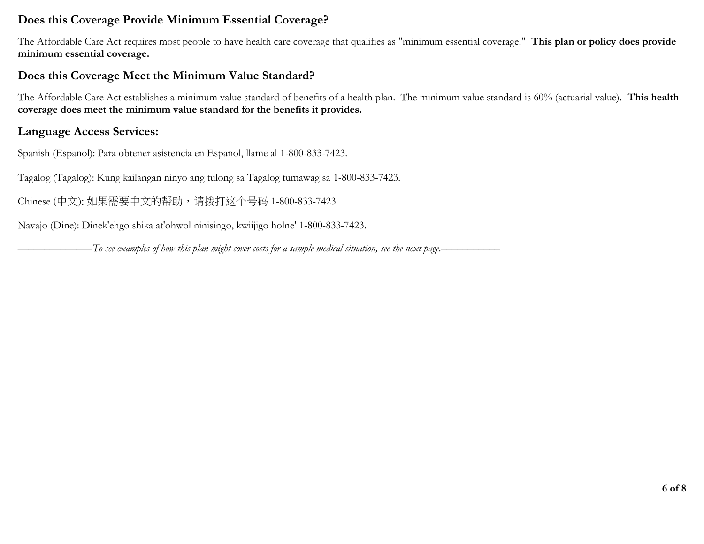## **Does this Coverage Provide Minimum Essential Coverage?**

The Affordable Care Act requires most people to have health care coverage that qualifies as "minimum essential coverage." **This plan or policy does provide minimum essential coverage.** 

# **Does this Coverage Meet the Minimum Value Standard?**

The Affordable Care Act establishes a minimum value standard of benefits of a health plan. The minimum value standard is 60% (actuarial value). **This health coverage does meet the minimum value standard for the benefits it provides.** 

# **Language Access Services:**

Spanish (Espanol): Para obtener asistencia en Espanol, llame al 1-800-833-7423.

Tagalog (Tagalog): Kung kailangan ninyo ang tulong sa Tagalog tumawag sa 1-800-833-7423.

Chinese (中文): 如果需要中文的帮助, 请拨打这个号码 1-800-833-7423.

Navajo (Dine): Dinek'ehgo shika at'ohwol ninisingo, kwiijigo holne' 1-800-833-7423.

*––––––––––––––To see examples of how this plan might cover costs for a sample medical situation, see the next page.–––––––––––*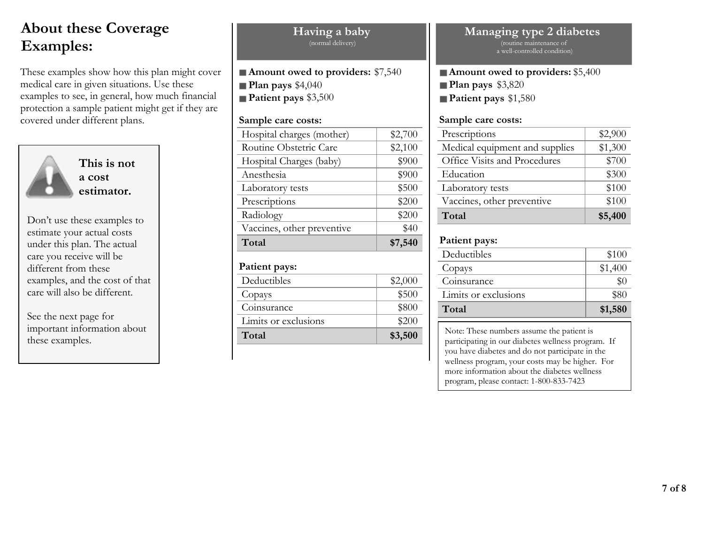# **About these Coverage Examples:**

These examples show how this plan might cover medical care in given situations. Use these examples to see, in general, how much financial protection a sample patient might get if they are covered under different plans.



**This is not a cost estimator.**

Don't use these examples to estimate your actual costs under this plan. The actual care you receive will be different from these examples, and the cost of that care will also be different.

See the next page for important information about these examples.

| (normal delivery)                                                                                     |         |
|-------------------------------------------------------------------------------------------------------|---------|
| Amount owed to providers: \$7,540<br>Plan pays $$4,040$<br>Patient pays \$3,500<br>Sample care costs: |         |
| Hospital charges (mother)                                                                             | \$2,700 |
| Routine Obstetric Care                                                                                | \$2,100 |
| Hospital Charges (baby)                                                                               | \$900   |
| Anesthesia                                                                                            | \$900   |
| Laboratory tests                                                                                      | \$500   |
| Prescriptions                                                                                         | \$200   |
| Radiology                                                                                             | \$200   |
| Vaccines, other preventive                                                                            | \$40    |
| Total                                                                                                 | \$7,540 |
| Patient pays:                                                                                         |         |
| Deductibles                                                                                           | \$2,000 |
| Copays                                                                                                | \$500   |
| Coinsurance                                                                                           | \$800   |
| Limits or exclusions                                                                                  | \$200   |

**Having a baby**

**Total \$3,500** 

#### **Managing type 2 diabetes**  (routine maintenance of a well-controlled condition)

**Amount owed to providers:** \$5,400 **Plan pays** \$3,820 **Patient pays** \$1,580

#### **Sample care costs:**

| Prescriptions                  | \$2,900 |
|--------------------------------|---------|
| Medical equipment and supplies | \$1,300 |
| Office Visits and Procedures   | \$700   |
| Education                      | \$300   |
| Laboratory tests               | \$100   |
| Vaccines, other preventive     | \$100   |
| Total                          | \$5,400 |

#### **Patient pays:**

| Deductibles          | \$100   |
|----------------------|---------|
| Copays               | \$1,400 |
| Coinsurance          | $\$0$   |
| Limits or exclusions | \$80    |
| Total                | \$1,580 |

Note: These numbers assume the patient is participating in our diabetes wellness program. If you have diabetes and do not participate in the wellness program, your costs may be higher. For more information about the diabetes wellness program, please contact: 1-800-833-7423